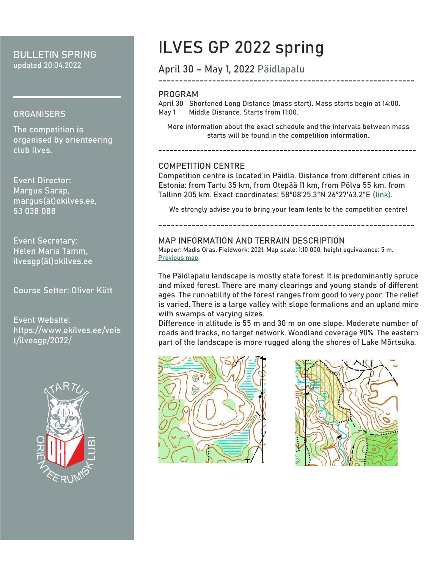### **BULLETIN SPRING** updated 20.04.2022

#### **ORGANISERS**

The competition is organised by orienteering club Ilves.

**Event Director:**  Margus Sarap, margus(ät)okilves.ee, 53 038 088

**Event Secretary:** Helen Maria Tamm, ilvesgp(ät)okilves.ee

**Course Setter:** Oliver Kütt

Event Website: https://www.okilves.ee/vois t/ilvesgp/2022/



# **ILVES GP 2022 spring**

### **April 30 – May 1, 2022 Päidlapalu**

#### **PROGRAM**

April 30 **Shortened Long Distance** (mass start). Mass starts begin at **14:00**. May 1 **Middle Distance**. Starts from **11:00**.

More information about the exact schedule and the intervals between mass starts will be found in the competition information.

**--------------------------------------------------------------------**

#### **COMPETITION CENTRE**

Competition centre is located in Päidla. Distance from different cities in Estonia: from Tartu 35 km, from Otepää 11 km, from Põlva 55 km, from Tallinn 205 km. Exact coordinates: 58°08'25.3"N 26°27'43.2"E [\(link\)](https://goo.gl/maps/hQHnUoTTUmiyU8L59).

We strongly advise you to bring your team tents to the competition centre!

--------------------------------------------------------------

### **MAP INFORMATION AND TERRAIN DESCRIPTION**

Mapper: Madis Oras. Fieldwork: 2021. Map scale: 1:10 000, height equivalence: 5 m. [Previous map.](https://app.orienteerumine.ee/kaart/db/kaart/9848.gif)

The Päidlapalu landscape is mostly state forest. It is predominantly spruce and mixed forest. There are many clearings and young stands of different ages. The runnability of the forest ranges from good to very poor. The relief is varied. There is a large valley with slope formations and an upland mire with swamps of varying sizes.

Difference in altitude is 55 m and 30 m on one slope. Moderate number of roads and tracks, no target network. Woodland coverage 90%. The eastern part of the landscape is more rugged along the shores of Lake Mõrtsuka.





--------------------------------------------------------------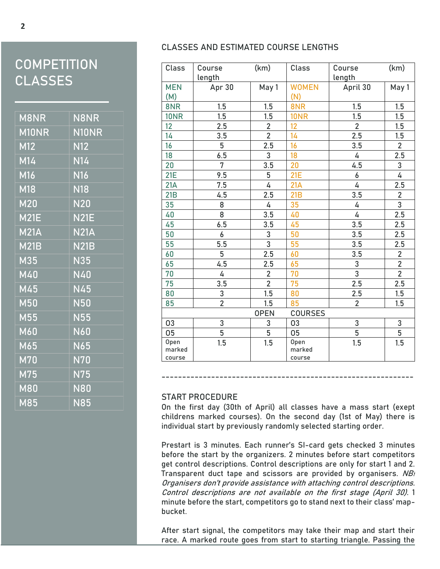## **COMPETITION CLASSES**

| M8NR                               | <b>N8NR</b>             |
|------------------------------------|-------------------------|
| M10NR                              | N10NR                   |
| M12                                | $\overline{\text{N}12}$ |
| M14                                | N14                     |
| $\overline{\mathsf{M}}$ 16         | <b>N16</b>              |
| M18                                | $\overline{\text{N18}}$ |
| M20                                | <b>N20</b>              |
| M21E                               | N21E                    |
| M <sub>21</sub>                    | <b>N21A</b>             |
| M21B                               | <b>N21B</b>             |
| M35                                | $\overline{\text{N}}35$ |
| M40                                | <b>N40</b>              |
| M45                                | <b>N45</b>              |
| M50                                | <b>N50</b>              |
| M55                                | <b>N55</b>              |
| M60                                | <b>N60</b>              |
| M65                                | <b>N65</b>              |
| $M\overline{70}$                   | N <sub>70</sub>         |
| M75                                | <b>N75</b>              |
| $\overline{\mathsf{M}8\mathsf{0}}$ | <b>N80</b>              |
| $\overline{\textsf{M}85}$          | <b>N85</b>              |

#### **CLASSES AND ESTIMATED COURSE LENGTHS**

| Class                         | Course<br>length | (km)                    | Class        | Course<br>length | (km)           |  |
|-------------------------------|------------------|-------------------------|--------------|------------------|----------------|--|
| <b>MEN</b>                    | Apr 30           | May 1                   | <b>WOMEN</b> | April 30         | May 1          |  |
| (M)                           |                  |                         | (N)          |                  |                |  |
| 8NR                           | 1.5              | 1.5                     | 8NR          | 1.5              | 1.5            |  |
| <b>10NR</b>                   | 1.5              | 1.5                     | <b>10NR</b>  | 1.5              | 1.5            |  |
| 12                            | 2.5              | $\overline{2}$          | 12           | $\overline{2}$   | 1.5            |  |
| 14                            | 3.5              | $\overline{2}$          | 14           | 2.5              | 1.5            |  |
| 16                            | 5                | 2.5                     | 16           | 3.5              | $\overline{2}$ |  |
| 18                            | 6.5              | 3                       | 18           | 4                | 2.5            |  |
| 20                            | $\overline{7}$   | 3.5                     | 20           | 4.5              | $\overline{3}$ |  |
| <b>21E</b>                    | 9.5              | 5                       | <b>21E</b>   | 6                | $\overline{4}$ |  |
| 21A                           | 7.5              | 4                       | 21A          | 4                | 2.5            |  |
| 21B                           | 4.5              | 2.5                     | 21B          | 3.5              | $\frac{2}{3}$  |  |
| 35                            | 8                | 4                       | 35           | 4                |                |  |
| 40                            | 8                | 3.5                     | 40           | 4                | 2.5            |  |
| 45                            | 6.5              | 3.5                     | 45           | 3.5              | 2.5            |  |
| 50                            | 6                | 3                       | 50           | 3.5              | 2.5            |  |
| 55                            | 5.5              | $\overline{3}$          | 55           | 3.5              | 2.5            |  |
| 60                            | 5                | 2.5                     | 60           | 3.5              |                |  |
| 65                            | 4.5              | 2.5                     | 65           | $\mathsf 3$      | $\frac{2}{2}$  |  |
| 70                            | 4                | $\overline{\mathbf{c}}$ | 70           | $\overline{3}$   | $\overline{2}$ |  |
| 75                            | 3.5              | $\overline{2}$          | 75           | 2.5              | 2.5            |  |
| 80                            | 3                | 1.5                     | 80           | 2.5              | 1.5            |  |
| 85                            | $\overline{2}$   | 1.5                     | 85           | $\overline{2}$   | 1.5            |  |
| <b>OPEN</b><br><b>COURSES</b> |                  |                         |              |                  |                |  |
| 03                            | 3                | 3                       | 03           | 3                | $\frac{3}{5}$  |  |
| 05                            | $\overline{5}$   | $\overline{5}$          | 05           | $\overline{5}$   |                |  |
| Open                          | 1.5              | 1.5                     | Open         | 1.5              | 1.5            |  |
| marked                        |                  |                         | marked       |                  |                |  |
| course                        |                  |                         | course       |                  |                |  |

#### **START PROCEDURE**

On the first day (30th of April) all classes have a mass start (exept childrens marked courses). On the second day (1st of May) there is individual start by previously randomly selected starting order.

**-------------------------------------------------------------**

Prestart is 3 minutes. Each runner's SI-card gets checked 3 minutes before the start by the organizers. 2 minutes before start competitors get control descriptions. Control descriptions are only for start 1 and 2. Transparent duct tape and scissors are provided by organisers. NB! Organisers don't provide assistance with attaching control descriptions. Control descriptions are not available on the first stage (April 30). 1 minute before the start, competitors go to stand next to their class' mapbucket.

After start signal, the competitors may take their map and start their race. A marked route goes from start to starting triangle. Passing the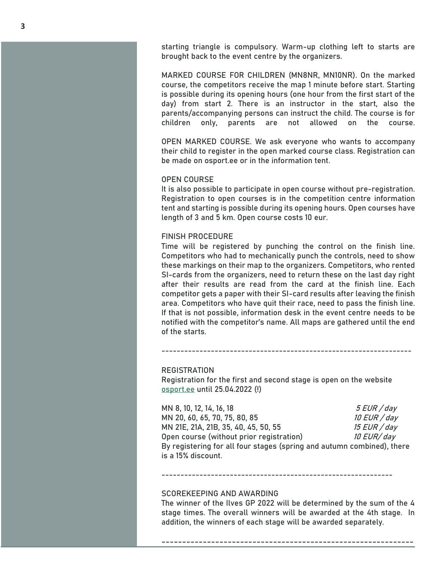starting triangle is **compulsory**. Warm-up clothing left to starts are brought back to the event centre by the organizers.

**MARKED COURSE FOR CHILDREN (MN8NR, MN10NR)**. On the marked course, the competitors receive the map 1 minute before start. Starting is possible during its opening hours (one hour from the first start of the day) from start 2. There is an instructor in the start, also the parents/accompanying persons can instruct the child. The course is for children only, parents are not allowed on the course.

**OPEN MARKED COURSE**. We ask everyone who wants to accompany their child to register in the open marked course class. Registration can be made on osport.ee or in the information tent.

#### **OPEN COURSE**

It is also possible to participate in open course without pre-registration. Registration to open courses is in the competition centre information tent and starting is possible during its opening hours. Open courses have length of 3 and 5 km. Open course costs 10 eur.

#### **FINISH PROCEDURE**

Time will be registered by punching the control on the finish line. Competitors who had to mechanically punch the controls, need to show these markings on their map to the organizers. Competitors, who rented SI-cards from the organizers, need to return these on the last day right after their results are read from the card at the finish line. Each competitor gets a paper with their SI-card results after leaving the finish area. Competitors who have quit their race, need to pass the finish line. If that is not possible, information desk in the event centre needs to be notified with the competitor's name. All maps are gathered until the end of the starts.

#### **REGISTRATION**

Registration for the first and second stage is open on the website [osport.ee](https://osport.ee/calendar/Event/18995) until **25.04.2022 (!)**

------------------------------------------------------------------

MN 8, 10, 12, 14, 16, 18 5 EUR / day MN 20, 60, 65, 70, 75, 80, 85 MN 21E, 21A, 21B, 35, 40, 45, 50, 55 15 15 EUR / day Open course (without prior registration)  $10$  EUR/day By registering for **all four stages** (spring and autumn combined), there is a **15% discount**.

#### -------------------------------------------------------------

#### **SCOREKEEPING AND AWARDING**

The winner of the Ilves GP 2022 will be determined by the sum of the 4 stage times. The overall winners will be awarded at the 4th stage. In addition, the winners of each stage will be awarded separately.

-------------------------------------------------------------